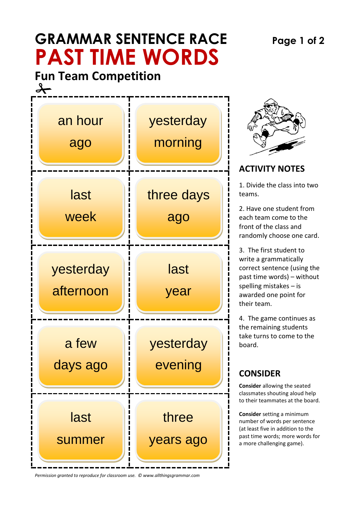# **GRAMMAR SENTENCE RACE Page 1 of 2 PAST TIME WORDS**

**Fun Team Competition**   $\rightarrow$ 



*Permission granted to reproduce for classroom use. © www.allthingsgrammar.com*



### **ACTIVITY NOTES**

1. Divide the class into two teams.

2. Have one student from each team come to the front of the class and randomly choose one card.

3. The first student to write a grammatically correct sentence (using the past time words) – without spelling mistakes – is awarded one point for their team.

4. The game continues as the remaining students take turns to come to the board.

## **CONSIDER**

**Consider** allowing the seated classmates shouting aloud help to their teammates at the board.

**Consider** setting a minimum number of words per sentence (at least five in addition to the past time words; more words for a more challenging game).